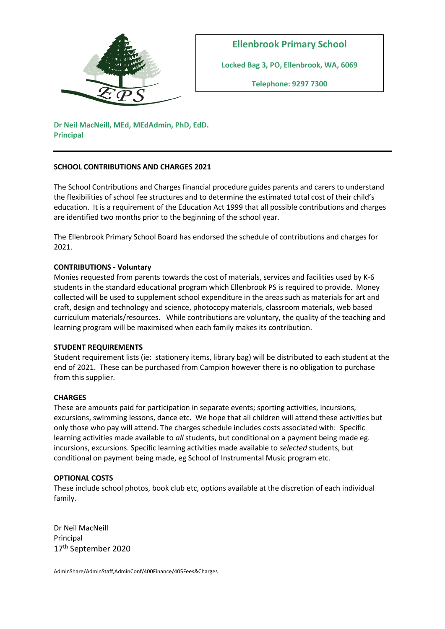

**Locked Bag 3, PO, Ellenbrook, WA, 6069**

**Telephone: 9297 7300**

**Dr Neil MacNeill, MEd, MEdAdmin, PhD, EdD. Principal**

# **SCHOOL CONTRIBUTIONS AND CHARGES 2021**

The School Contributions and Charges financial procedure guides parents and carers to understand the flexibilities of school fee structures and to determine the estimated total cost of their child's education. It is a requirement of the Education Act 1999 that all possible contributions and charges are identified two months prior to the beginning of the school year.

The Ellenbrook Primary School Board has endorsed the schedule of contributions and charges for 2021.

# **CONTRIBUTIONS - Voluntary**

Monies requested from parents towards the cost of materials, services and facilities used by K-6 students in the standard educational program which Ellenbrook PS is required to provide. Money collected will be used to supplement school expenditure in the areas such as materials for art and craft, design and technology and science, photocopy materials, classroom materials, web based curriculum materials/resources. While contributions are voluntary, the quality of the teaching and learning program will be maximised when each family makes its contribution.

## **STUDENT REQUIREMENTS**

Student requirement lists (ie: stationery items, library bag) will be distributed to each student at the end of 2021. These can be purchased from Campion however there is no obligation to purchase from this supplier.

## **CHARGES**

These are amounts paid for participation in separate events; sporting activities, incursions, excursions, swimming lessons, dance etc. We hope that all children will attend these activities but only those who pay will attend. The charges schedule includes costs associated with: Specific learning activities made available to *all* students, but conditional on a payment being made eg. incursions, excursions. Specific learning activities made available to *selected* students, but conditional on payment being made, eg School of Instrumental Music program etc.

## **OPTIONAL COSTS**

These include school photos, book club etc, options available at the discretion of each individual family.

Dr Neil MacNeill Principal 17th September 2020